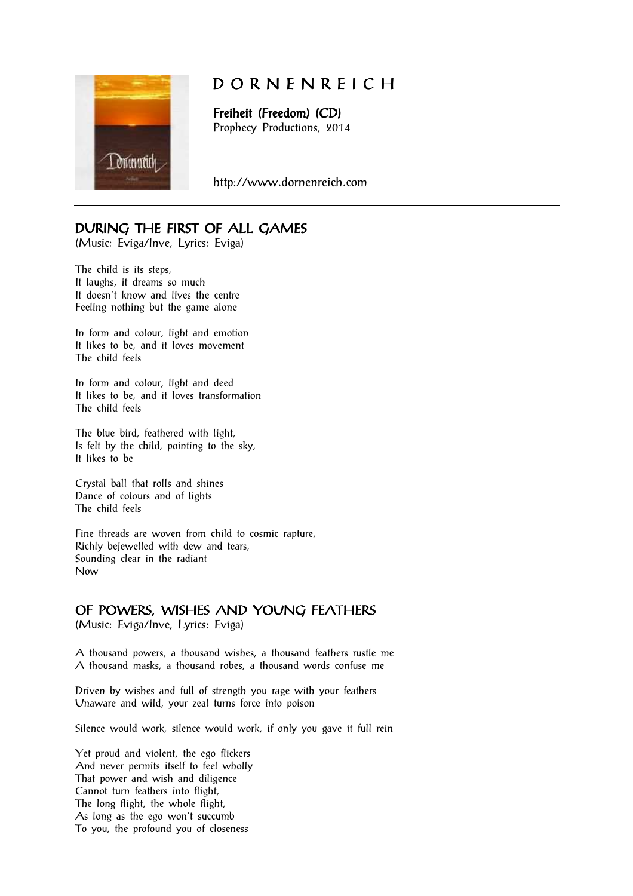

# D O R N E N R E I C H

Freiheit (Freedom) (CD) Prophecy Productions, 2014

http://www.dornenreich.com

## DURING THE FIRST OF ALL GAMES

(Music: Eviga/Inve, Lyrics: Eviga)

The child is its steps, It laughs, it dreams so much It doesn't know and lives the centre Feeling nothing but the game alone

In form and colour, light and emotion It likes to be, and it loves movement The child feels

In form and colour, light and deed It likes to be, and it loves transformation The child feels

The blue bird, feathered with light, Is felt by the child, pointing to the sky, It likes to be

Crystal ball that rolls and shines Dance of colours and of lights The child feels

Fine threads are woven from child to cosmic rapture, Richly bejewelled with dew and tears, Sounding clear in the radiant Now

## OF POWERS, WISHES AND YOUNG FEATHERS

(Music: Eviga/Inve, Lyrics: Eviga)

A thousand powers, a thousand wishes, a thousand feathers rustle me A thousand masks, a thousand robes, a thousand words confuse me

Driven by wishes and full of strength you rage with your feathers Unaware and wild, your zeal turns force into poison

Silence would work, silence would work, if only you gave it full rein

Yet proud and violent, the ego flickers And never permits itself to feel wholly That power and wish and diligence Cannot turn feathers into flight, The long flight, the whole flight, As long as the ego won't succumb To you, the profound you of closeness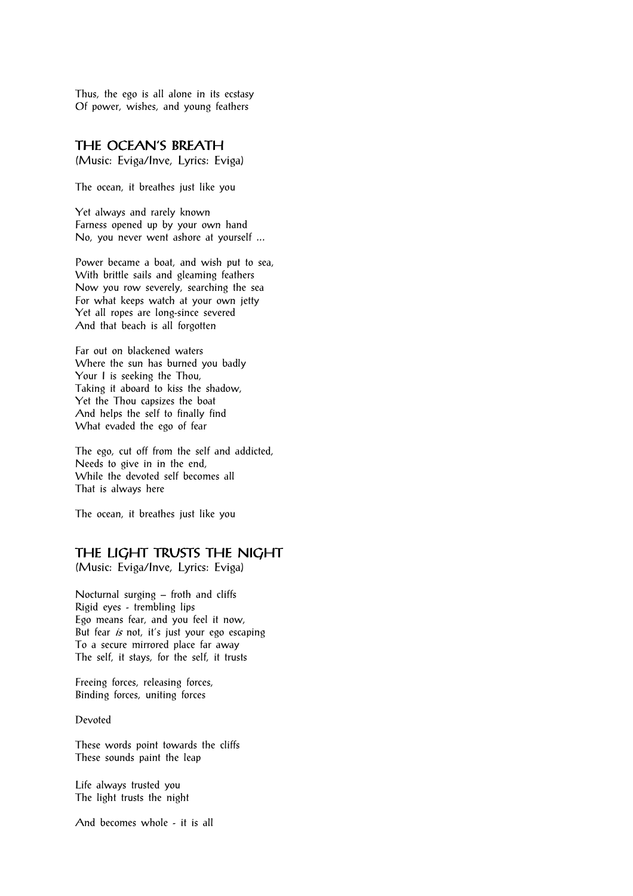Thus, the ego is all alone in its ecstasy Of power, wishes, and young feathers

## THE OCEAN'S BREATH

(Music: Eviga/Inve, Lyrics: Eviga)

The ocean, it breathes just like you

Yet always and rarely known Farness opened up by your own hand No, you never went ashore at yourself ...

Power became a boat, and wish put to sea, With brittle sails and gleaming feathers Now you row severely, searching the sea For what keeps watch at your own jetty Yet all ropes are long-since severed And that beach is all forgotten

Far out on blackened waters Where the sun has burned you badly Your I is seeking the Thou, Taking it aboard to kiss the shadow, Yet the Thou capsizes the boat And helps the self to finally find What evaded the ego of fear

The ego, cut off from the self and addicted, Needs to give in in the end, While the devoted self becomes all That is always here

The ocean, it breathes just like you

#### THE LIGHT TRUSTS THE NIGHT

(Music: Eviga/Inve, Lyrics: Eviga)

Nocturnal surging – froth and cliffs Rigid eyes - trembling lips Ego means fear, and you feel it now, But fear is not, it's just your ego escaping To a secure mirrored place far away The self, it stays, for the self, it trusts

Freeing forces, releasing forces, Binding forces, uniting forces

Devoted

These words point towards the cliffs These sounds paint the leap

Life always trusted you The light trusts the night

And becomes whole - it is all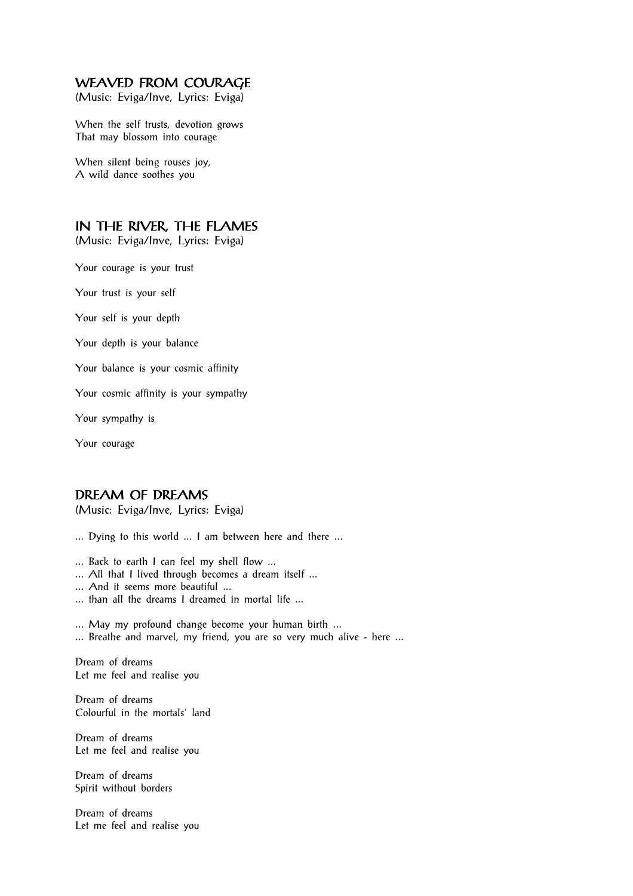## WEAVED FROM COURAGE

(Music: Eviga/Inve, Lyrics: Eviga)

When the self trusts, devotion grows That may blossom into courage

When silent being rouses joy, A wild dance soothes you

## IN THE RIVER, THE FLAMES

(Music: Eviga/Inve, Lyrics: Eviga)

Your courage is your trust

Your trust is your self

Your self is your depth

Your depth is your balance

Your balance is your cosmic affinity

Your cosmic affinity is your sympathy

Your sympathy is

Your courage

## DREAM OF DREAMS

(Music: Eviga/Inve, Lyrics: Eviga)

... Dying to this world ... I am between here and there ...

... Back to earth I can feel my shell flow ...

- ... All that I lived through becomes a dream itself ...
- ... And it seems more beautiful ...
- ... than all the dreams I dreamed in mortal life ...

... May my profound change become your human birth ...

... Breathe and marvel, my friend, you are so very much alive - here ...

Dream of dreams Let me feel and realise you

Dream of dreams Colourful in the mortals' land

Dream of dreams Let me feel and realise you

Dream of dreams Spirit without borders

Dream of dreams Let me feel and realise you